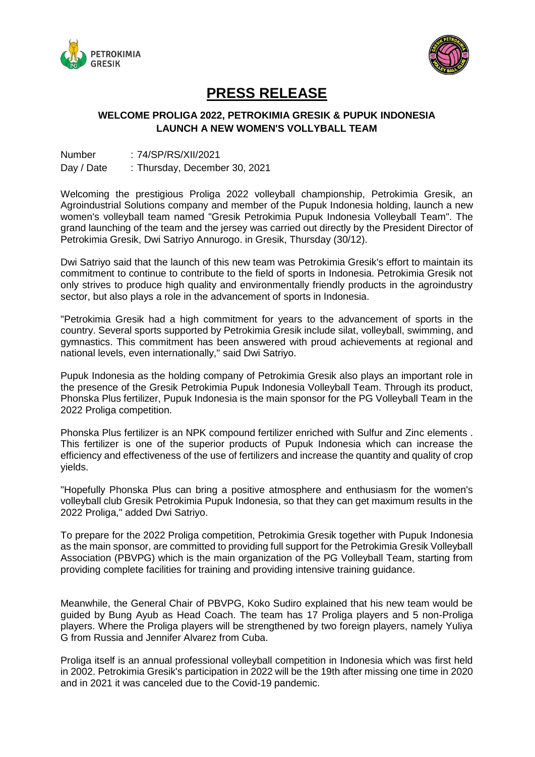



## **PRESS RELEASE**

## **WELCOME PROLIGA 2022, PETROKIMIA GRESIK & PUPUK INDONESIA LAUNCH A NEW WOMEN'S VOLLYBALL TEAM**

| <b>Number</b> | : 74/SP/RS/XII/2021           |
|---------------|-------------------------------|
| Day / Date    | : Thursday, December 30, 2021 |

Welcoming the prestigious Proliga 2022 volleyball championship, Petrokimia Gresik, an Agroindustrial Solutions company and member of the Pupuk Indonesia holding, launch a new women's volleyball team named "Gresik Petrokimia Pupuk Indonesia Volleyball Team". The grand launching of the team and the jersey was carried out directly by the President Director of Petrokimia Gresik, Dwi Satriyo Annurogo. in Gresik, Thursday (30/12).

Dwi Satriyo said that the launch of this new team was Petrokimia Gresik's effort to maintain its commitment to continue to contribute to the field of sports in Indonesia. Petrokimia Gresik not only strives to produce high quality and environmentally friendly products in the agroindustry sector, but also plays a role in the advancement of sports in Indonesia.

"Petrokimia Gresik had a high commitment for years to the advancement of sports in the country. Several sports supported by Petrokimia Gresik include silat, volleyball, swimming, and gymnastics. This commitment has been answered with proud achievements at regional and national levels, even internationally," said Dwi Satriyo.

Pupuk Indonesia as the holding company of Petrokimia Gresik also plays an important role in the presence of the Gresik Petrokimia Pupuk Indonesia Volleyball Team. Through its product, Phonska Plus fertilizer, Pupuk Indonesia is the main sponsor for the PG Volleyball Team in the 2022 Proliga competition.

Phonska Plus fertilizer is an NPK compound fertilizer enriched with Sulfur and Zinc elements . This fertilizer is one of the superior products of Pupuk Indonesia which can increase the efficiency and effectiveness of the use of fertilizers and increase the quantity and quality of crop yields.

"Hopefully Phonska Plus can bring a positive atmosphere and enthusiasm for the women's volleyball club Gresik Petrokimia Pupuk Indonesia, so that they can get maximum results in the 2022 Proliga," added Dwi Satriyo.

To prepare for the 2022 Proliga competition, Petrokimia Gresik together with Pupuk Indonesia as the main sponsor, are committed to providing full support for the Petrokimia Gresik Volleyball Association (PBVPG) which is the main organization of the PG Volleyball Team, starting from providing complete facilities for training and providing intensive training guidance.

Meanwhile, the General Chair of PBVPG, Koko Sudiro explained that his new team would be guided by Bung Ayub as Head Coach. The team has 17 Proliga players and 5 non-Proliga players. Where the Proliga players will be strengthened by two foreign players, namely Yuliya G from Russia and Jennifer Alvarez from Cuba.

Proliga itself is an annual professional volleyball competition in Indonesia which was first held in 2002. Petrokimia Gresik's participation in 2022 will be the 19th after missing one time in 2020 and in 2021 it was canceled due to the Covid-19 pandemic.